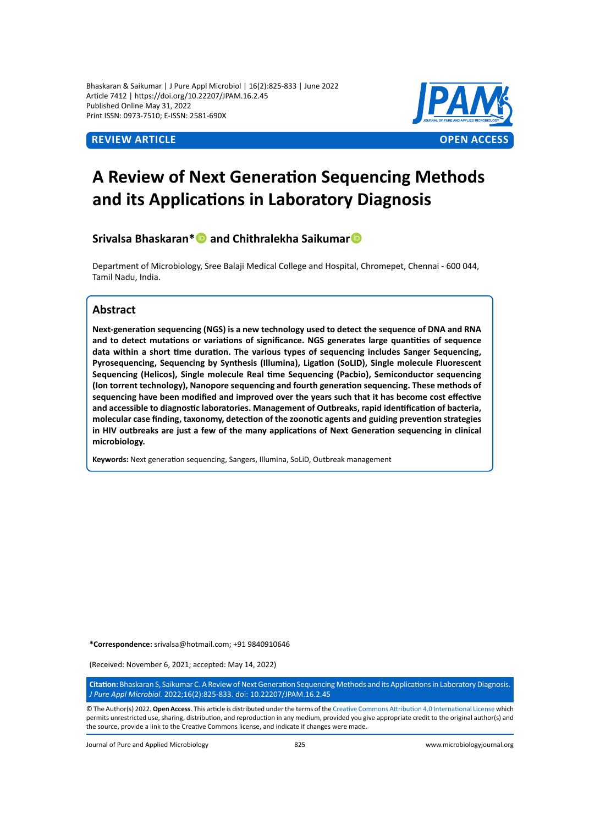Bhaskaran & Saikumar | J Pure Appl Microbiol | 16(2):825-833 | June 2022 Article 7412 | https://doi.org/10.22207/JPAM.16.2.45 Published Online May 31, 2022 Print ISSN: 0973-7510; E-ISSN: 2581-690X



# **A Review of Next Generation Sequencing Methods and its Applications in Laboratory Diagnosis**

**Srivalsa Bhaskaran\*** and Chithralekha Saikumar **D** 

Department of Microbiology, Sree Balaji Medical College and Hospital, Chromepet, Chennai - 600 044, Tamil Nadu, India.

# **Abstract**

**Next-generation sequencing (NGS) is a new technology used to detect the sequence of DNA and RNA and to detect mutations or variations of significance. NGS generates large quantities of sequence data within a short time duration. The various types of sequencing includes Sanger Sequencing, Pyrosequencing, Sequencing by Synthesis (Illumina), Ligation (SoLID), Single molecule Fluorescent Sequencing (Helicos), Single molecule Real time Sequencing (Pacbio), Semiconductor sequencing (Ion torrent technology), Nanopore sequencing and fourth generation sequencing. These methods of sequencing have been modified and improved over the years such that it has become cost effective and accessible to diagnostic laboratories. Management of Outbreaks, rapid identification of bacteria, molecular case finding, taxonomy, detection of the zoonotic agents and guiding prevention strategies in HIV outbreaks are just a few of the many applications of Next Generation sequencing in clinical microbiology.**

**Keywords:** Next generation sequencing, Sangers, Illumina, SoLiD, Outbreak management

**\*Correspondence:** srivalsa@hotmail.com; +91 9840910646

(Received: November 6, 2021; accepted: May 14, 2022)

**Citation:** Bhaskaran S, Saikumar C. A Review of Next Generation Sequencing Methods and its Applications in Laboratory Diagnosis. *J Pure Appl Microbiol.* 2022;16(2):825-833. doi: 10.22207/JPAM.16.2.45

© The Author(s) 2022. **Open Access**. This article is distributed under the terms of the [Creative Commons Attribution 4.0 International License](https://creativecommons.org/licenses/by/4.0/) which permits unrestricted use, sharing, distribution, and reproduction in any medium, provided you give appropriate credit to the original author(s) and the source, provide a link to the Creative Commons license, and indicate if changes were made.

Journal of Pure and Applied Microbiology 825 www.microbiologyjournal.org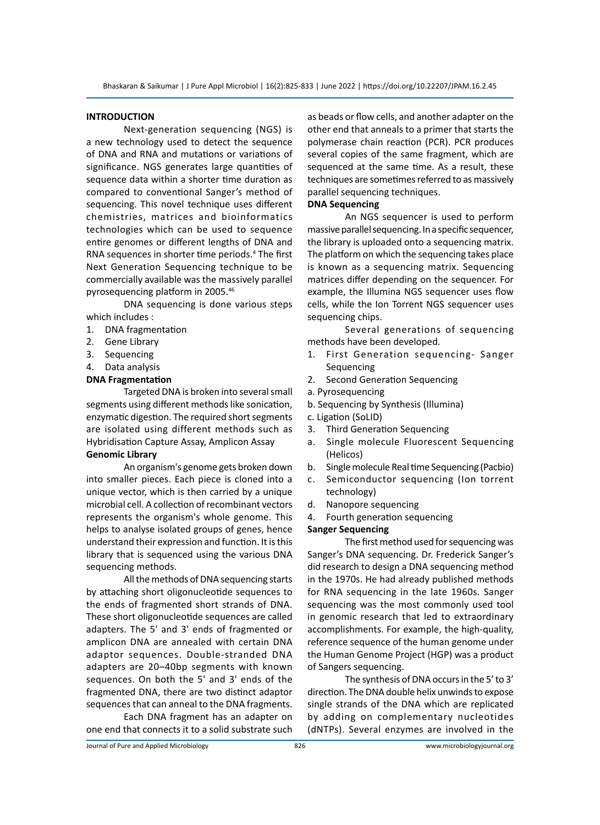### **INTRODUCTION**

Next-generation sequencing (NGS) is a new technology used to detect the sequence of DNA and RNA and mutations or variations of significance. NGS generates large quantities of sequence data within a shorter time duration as compared to conventional Sanger's method of sequencing. This novel technique uses different chemistries, matrices and bioinformatics technologies which can be used to sequence entire genomes or different lengths of DNA and RNA sequences in shorter time periods.<sup>4</sup> The first Next Generation Sequencing technique to be commercially available was the massively parallel pyrosequencing platform in 2005.<sup>46</sup>

DNA sequencing is done various steps which includes :

- 1. DNA fragmentation
- 2. Gene Library
- 3. Sequencing
- 4. Data analysis

# **DNA Fragmentation**

Targeted DNA is broken into several small segments using different methods like sonication, enzymatic digestion. The required short segments are isolated using different methods such as Hybridisation Capture Assay, Amplicon Assay **Genomic Library**

An organism's genome gets broken down into smaller pieces. Each piece is cloned into a unique vector, which is then carried by a unique microbial cell. A collection of recombinant vectors represents the organism's whole genome. This helps to analyse isolated groups of genes, hence understand their expression and function. It is this library that is sequenced using the various DNA sequencing methods.

All the methods of DNA sequencing starts by attaching short oligonucleotide sequences to the ends of fragmented short strands of DNA. These short oligonucleotide sequences are called adapters. The 5' and 3' ends of fragmented or amplicon DNA are annealed with certain DNA adaptor sequences. Double-stranded DNA adapters are 20–40bp segments with known sequences. On both the 5' and 3' ends of the fragmented DNA, there are two distinct adaptor sequences that can anneal to the DNA fragments.

Each DNA fragment has an adapter on one end that connects it to a solid substrate such as beads or flow cells, and another adapter on the other end that anneals to a primer that starts the polymerase chain reaction (PCR). PCR produces several copies of the same fragment, which are sequenced at the same time. As a result, these techniques are sometimes referred to as massively parallel sequencing techniques.

# **DNA Sequencing**

An NGS sequencer is used to perform massive parallel sequencing. In a specific sequencer, the library is uploaded onto a sequencing matrix. The platform on which the sequencing takes place is known as a sequencing matrix. Sequencing matrices differ depending on the sequencer. For example, the Illumina NGS sequencer uses flow cells, while the Ion Torrent NGS sequencer uses sequencing chips.

Several generations of sequencing methods have been developed.

- 1. First Generation sequencing- Sanger Sequencing
- 2. Second Generation Sequencing
- a. Pyrosequencing
- b. Sequencing by Synthesis (Illumina)
- c. Ligation (SoLID)
- 3. Third Generation Sequencing
- a. Single molecule Fluorescent Sequencing (Helicos)
- b. Single molecule Real time Sequencing (Pacbio)
- c. Semiconductor sequencing (Ion torrent technology)
- d. Nanopore sequencing
- 4. Fourth generation sequencing

# **Sanger Sequencing**

The first method used for sequencing was Sanger's DNA sequencing. Dr. Frederick Sanger's did research to design a DNA sequencing method in the 1970s. He had already published methods for RNA sequencing in the late 1960s. Sanger sequencing was the most commonly used tool in genomic research that led to extraordinary accomplishments. For example, the high-quality, reference sequence of the human genome under the Human Genome Project (HGP) was a product of Sangers sequencing.

The synthesis of DNA occurs in the 5' to 3' direction. The DNA double helix unwinds to expose single strands of the DNA which are replicated by adding on complementary nucleotides (dNTPs). Several enzymes are involved in the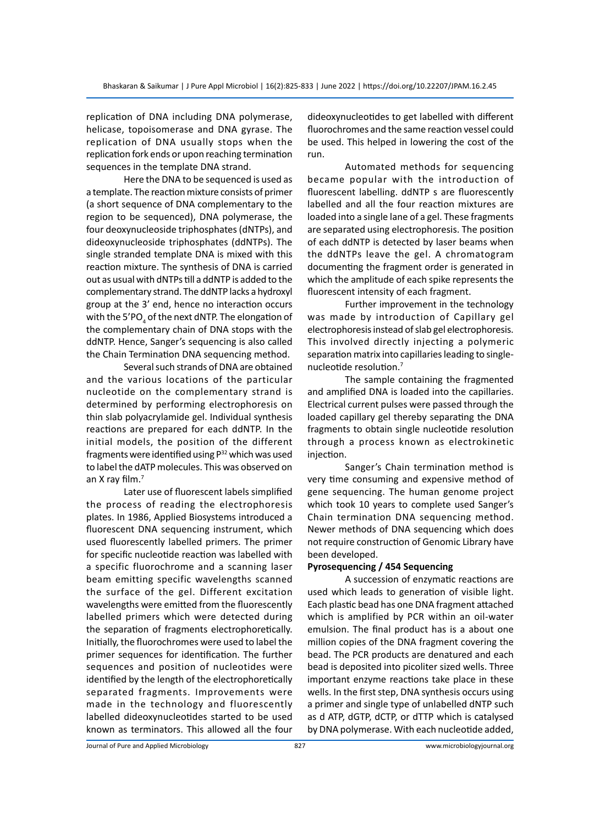replication of DNA including DNA polymerase, helicase, topoisomerase and DNA gyrase. The replication of DNA usually stops when the replication fork ends or upon reaching termination sequences in the template DNA strand.

Here the DNA to be sequenced is used as a template. The reaction mixture consists of primer (a short sequence of DNA complementary to the region to be sequenced), DNA polymerase, the four deoxynucleoside triphosphates (dNTPs), and dideoxynucleoside triphosphates (ddNTPs). The single stranded template DNA is mixed with this reaction mixture. The synthesis of DNA is carried out as usual with dNTPs till a ddNTP is added to the complementary strand. The ddNTP lacks a hydroxyl group at the 3' end, hence no interaction occurs with the 5′PO $_{\tiny 4}$  of the next dNTP. The elongation of the complementary chain of DNA stops with the ddNTP. Hence, Sanger's sequencing is also called the Chain Termination DNA sequencing method.

Several such strands of DNA are obtained and the various locations of the particular nucleotide on the complementary strand is determined by performing electrophoresis on thin slab polyacrylamide gel. Individual synthesis reactions are prepared for each ddNTP. In the initial models, the position of the different fragments were identified using  $P^{32}$  which was used to label the dATP molecules. This was observed on an X ray film.<sup>7</sup>

Later use of fluorescent labels simplified the process of reading the electrophoresis plates. In 1986, Applied Biosystems introduced a fluorescent DNA sequencing instrument, which used fluorescently labelled primers. The primer for specific nucleotide reaction was labelled with a specific fluorochrome and a scanning laser beam emitting specific wavelengths scanned the surface of the gel. Different excitation wavelengths were emitted from the fluorescently labelled primers which were detected during the separation of fragments electrophoretically. Initially, the fluorochromes were used to label the primer sequences for identification. The further sequences and position of nucleotides were identified by the length of the electrophoretically separated fragments. Improvements were made in the technology and fluorescently labelled dideoxynucleotides started to be used known as terminators. This allowed all the four dideoxynucleotides to get labelled with different fluorochromes and the same reaction vessel could be used. This helped in lowering the cost of the run.

Automated methods for sequencing became popular with the introduction of fluorescent labelling. ddNTP s are fluorescently labelled and all the four reaction mixtures are loaded into a single lane of a gel. These fragments are separated using electrophoresis. The position of each ddNTP is detected by laser beams when the ddNTPs leave the gel. A chromatogram documenting the fragment order is generated in which the amplitude of each spike represents the fluorescent intensity of each fragment.

Further improvement in the technology was made by introduction of Capillary gel electrophoresis instead of slab gel electrophoresis. This involved directly injecting a polymeric separation matrix into capillaries leading to singlenucleotide resolution.<sup>7</sup>

The sample containing the fragmented and amplified DNA is loaded into the capillaries. Electrical current pulses were passed through the loaded capillary gel thereby separating the DNA fragments to obtain single nucleotide resolution through a process known as electrokinetic injection.

Sanger's Chain termination method is very time consuming and expensive method of gene sequencing. The human genome project which took 10 years to complete used Sanger's Chain termination DNA sequencing method. Newer methods of DNA sequencing which does not require construction of Genomic Library have been developed.

#### **Pyrosequencing / 454 Sequencing**

A succession of enzymatic reactions are used which leads to generation of visible light. Each plastic bead has one DNA fragment attached which is amplified by PCR within an oil-water emulsion. The final product has is a about one million copies of the DNA fragment covering the bead. The PCR products are denatured and each bead is deposited into picoliter sized wells. Three important enzyme reactions take place in these wells. In the first step, DNA synthesis occurs using a primer and single type of unlabelled dNTP such as d ATP, dGTP, dCTP, or dTTP which is catalysed by DNA polymerase. With each nucleotide added,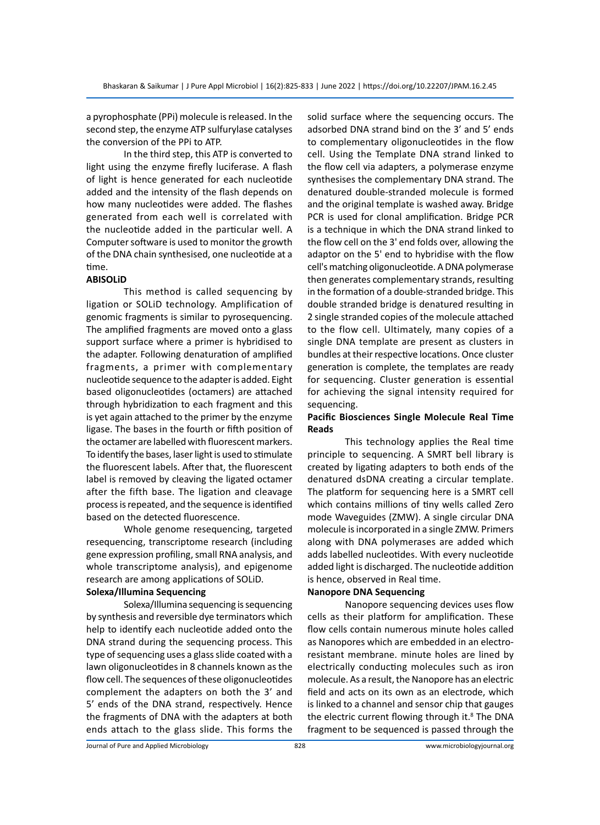a pyrophosphate (PPi) molecule is released. In the second step, the enzyme ATP sulfurylase catalyses the conversion of the PPi to ATP.

In the third step, this ATP is converted to light using the enzyme firefly luciferase. A flash of light is hence generated for each nucleotide added and the intensity of the flash depends on how many nucleotides were added. The flashes generated from each well is correlated with the nucleotide added in the particular well. A Computer software is used to monitor the growth of the DNA chain synthesised, one nucleotide at a time.

### **ABISOLiD**

This method is called sequencing by ligation or SOLiD technology. Amplification of genomic fragments is similar to pyrosequencing. The amplified fragments are moved onto a glass support surface where a primer is hybridised to the adapter. Following denaturation of amplified fragments, a primer with complementary nucleotide sequence to the adapter is added. Eight based oligonucleotides (octamers) are attached through hybridization to each fragment and this is yet again attached to the primer by the enzyme ligase. The bases in the fourth or fifth position of the octamer are labelled with fluorescent markers. To identify the bases, laser light is used to stimulate the fluorescent labels. After that, the fluorescent label is removed by cleaving the ligated octamer after the fifth base. The ligation and cleavage process is repeated, and the sequence is identified based on the detected fluorescence.

Whole genome resequencing, targeted resequencing, transcriptome research (including gene expression profiling, small RNA analysis, and whole transcriptome analysis), and epigenome research are among applications of SOLiD.

# **Solexa/Illumina Sequencing**

Solexa/Illumina sequencing is sequencing by synthesis and reversible dye terminators which help to identify each nucleotide added onto the DNA strand during the sequencing process. This type of sequencing uses a glass slide coated with a lawn oligonucleotides in 8 channels known as the flow cell. The sequences of these oligonucleotides complement the adapters on both the 3' and 5' ends of the DNA strand, respectively. Hence the fragments of DNA with the adapters at both ends attach to the glass slide. This forms the solid surface where the sequencing occurs. The adsorbed DNA strand bind on the 3' and 5' ends to complementary oligonucleotides in the flow cell. Using the Template DNA strand linked to the flow cell via adapters, a polymerase enzyme synthesises the complementary DNA strand. The denatured double-stranded molecule is formed and the original template is washed away. Bridge PCR is used for clonal amplification. Bridge PCR is a technique in which the DNA strand linked to the flow cell on the 3' end folds over, allowing the adaptor on the 5' end to hybridise with the flow cell's matching oligonucleotide. A DNA polymerase then generates complementary strands, resulting in the formation of a double-stranded bridge. This double stranded bridge is denatured resulting in 2 single stranded copies of the molecule attached to the flow cell. Ultimately, many copies of a single DNA template are present as clusters in bundles at their respective locations. Once cluster generation is complete, the templates are ready for sequencing. Cluster generation is essential for achieving the signal intensity required for sequencing.

# **Pacific Biosciences Single Molecule Real Time Reads**

This technology applies the Real time principle to sequencing. A SMRT bell library is created by ligating adapters to both ends of the denatured dsDNA creating a circular template. The platform for sequencing here is a SMRT cell which contains millions of tiny wells called Zero mode Waveguides (ZMW). A single circular DNA molecule is incorporated in a single ZMW. Primers along with DNA polymerases are added which adds labelled nucleotides. With every nucleotide added light is discharged. The nucleotide addition is hence, observed in Real time.

#### **Nanopore DNA Sequencing**

Nanopore sequencing devices uses flow cells as their platform for amplification. These flow cells contain numerous minute holes called as Nanopores which are embedded in an electroresistant membrane. minute holes are lined by electrically conducting molecules such as iron molecule. As a result, the Nanopore has an electric field and acts on its own as an electrode, which is linked to a channel and sensor chip that gauges the electric current flowing through it.<sup>8</sup> The DNA fragment to be sequenced is passed through the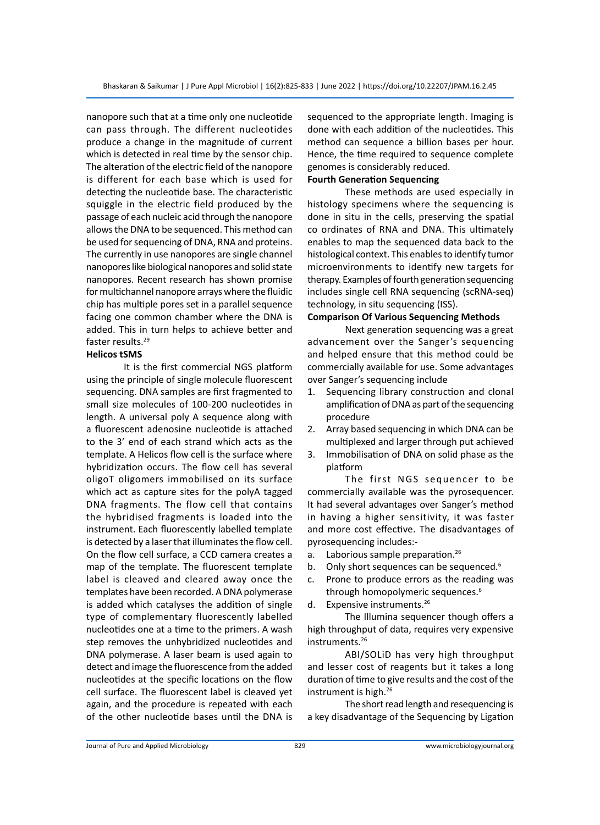nanopore such that at a time only one nucleotide can pass through. The different nucleotides produce a change in the magnitude of current which is detected in real time by the sensor chip. The alteration of the electric field of the nanopore is different for each base which is used for detecting the nucleotide base. The characteristic squiggle in the electric field produced by the passage of each nucleic acid through the nanopore allows the DNA to be sequenced. This method can be used for sequencing of DNA, RNA and proteins. The currently in use nanopores are single channel nanopores like biological nanopores and solid state nanopores. Recent research has shown promise for multichannel nanopore arrays where the fluidic chip has multiple pores set in a parallel sequence facing one common chamber where the DNA is added. This in turn helps to achieve better and faster results.29

#### **Helicos tSMS**

It is the first commercial NGS platform using the principle of single molecule fluorescent sequencing. DNA samples are first fragmented to small size molecules of 100-200 nucleotides in length. A universal poly A sequence along with a fluorescent adenosine nucleotide is attached to the 3' end of each strand which acts as the template. A Helicos flow cell is the surface where hybridization occurs. The flow cell has several oligoT oligomers immobilised on its surface which act as capture sites for the polyA tagged DNA fragments. The flow cell that contains the hybridised fragments is loaded into the instrument. Each fluorescently labelled template is detected by a laser that illuminates the flow cell. On the flow cell surface, a CCD camera creates a map of the template. The fluorescent template label is cleaved and cleared away once the templates have been recorded. A DNA polymerase is added which catalyses the addition of single type of complementary fluorescently labelled nucleotides one at a time to the primers. A wash step removes the unhybridized nucleotides and DNA polymerase. A laser beam is used again to detect and image the fluorescence from the added nucleotides at the specific locations on the flow cell surface. The fluorescent label is cleaved yet again, and the procedure is repeated with each of the other nucleotide bases until the DNA is

sequenced to the appropriate length. Imaging is done with each addition of the nucleotides. This method can sequence a billion bases per hour. Hence, the time required to sequence complete genomes is considerably reduced.

# **Fourth Generation Sequencing**

These methods are used especially in histology specimens where the sequencing is done in situ in the cells, preserving the spatial co ordinates of RNA and DNA. This ultimately enables to map the sequenced data back to the histological context. This enables to identify tumor microenvironments to identify new targets for therapy. Examples of fourth generation sequencing includes single cell RNA sequencing (scRNA‐seq) technology, in situ sequencing (ISS).

# **Comparison Of Various Sequencing Methods**

Next generation sequencing was a great advancement over the Sanger's sequencing and helped ensure that this method could be commercially available for use. Some advantages over Sanger's sequencing include

- 1. Sequencing library construction and clonal amplification of DNA as part of the sequencing procedure
- 2. Array based sequencing in which DNA can be multiplexed and larger through put achieved
- 3. Immobilisation of DNA on solid phase as the platform

The first NGS sequencer to be commercially available was the pyrosequencer. It had several advantages over Sanger's method in having a higher sensitivity, it was faster and more cost effective. The disadvantages of pyrosequencing includes:-

- a. Laborious sample preparation.<sup>26</sup>
- b. Only short sequences can be sequenced.<sup>6</sup>
- c. Prone to produce errors as the reading was through homopolymeric sequences.<sup>6</sup>
- d. Expensive instruments.<sup>26</sup>

The Illumina sequencer though offers a high throughput of data, requires very expensive instruments.<sup>26</sup>

ABI/SOLiD has very high throughput and lesser cost of reagents but it takes a long duration of time to give results and the cost of the instrument is high.<sup>26</sup>

The short read length and resequencing is a key disadvantage of the Sequencing by Ligation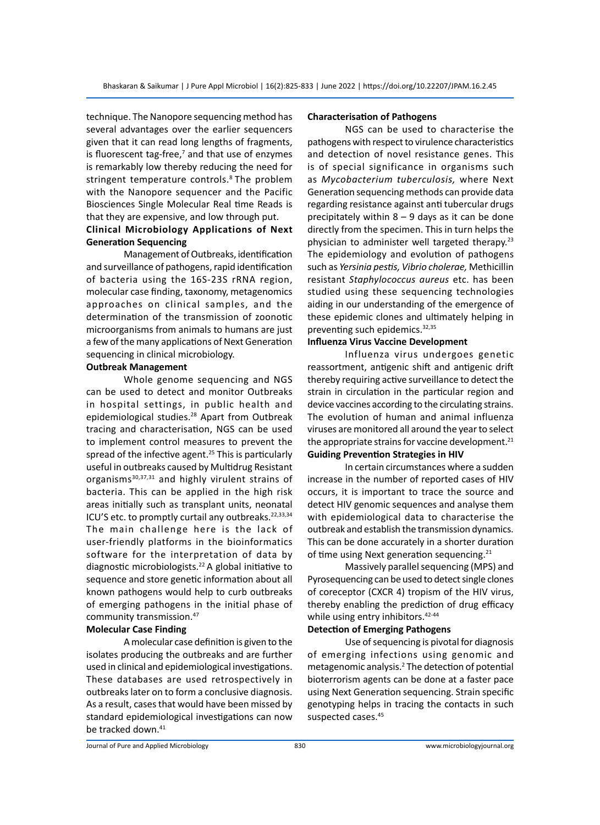technique. The Nanopore sequencing method has several advantages over the earlier sequencers given that it can read long lengths of fragments, is fluorescent tag-free,<sup>7</sup> and that use of enzymes is remarkably low thereby reducing the need for stringent temperature controls.<sup>8</sup> The problem with the Nanopore sequencer and the Pacific Biosciences Single Molecular Real time Reads is that they are expensive, and low through put.

# **Clinical Microbiology Applications of Next Generation Sequencing**

Management of Outbreaks, identification and surveillance of pathogens, rapid identification of bacteria using the 16S-23S rRNA region, molecular case finding, taxonomy, metagenomics approaches on clinical samples, and the determination of the transmission of zoonotic microorganisms from animals to humans are just a few of the many applications of Next Generation sequencing in clinical microbiology.

# **Outbreak Management**

Whole genome sequencing and NGS can be used to detect and monitor Outbreaks in hospital settings, in public health and epidemiological studies.<sup>28</sup> Apart from Outbreak tracing and characterisation, NGS can be used to implement control measures to prevent the spread of the infective agent.<sup>25</sup> This is particularly useful in outbreaks caused by Multidrug Resistant organisms<sup>30,37,31</sup> and highly virulent strains of bacteria. This can be applied in the high risk areas initially such as transplant units, neonatal ICU'S etc. to promptly curtail any outbreaks.<sup>22,33,34</sup> The main challenge here is the lack of user-friendly platforms in the bioinformatics software for the interpretation of data by diagnostic microbiologists.<sup>22</sup> A global initiative to sequence and store genetic information about all known pathogens would help to curb outbreaks of emerging pathogens in the initial phase of community transmission.47

# **Molecular Case Finding**

A molecular case definition is given to the isolates producing the outbreaks and are further used in clinical and epidemiological investigations. These databases are used retrospectively in outbreaks later on to form a conclusive diagnosis. As a result, cases that would have been missed by standard epidemiological investigations can now be tracked down.<sup>41</sup>

#### **Characterisation of Pathogens**

NGS can be used to characterise the pathogens with respect to virulence characteristics and detection of novel resistance genes. This is of special significance in organisms such as *Mycobacterium tuberculosis,* where Next Generation sequencing methods can provide data regarding resistance against anti tubercular drugs precipitately within  $8 - 9$  days as it can be done directly from the specimen. This in turn helps the physician to administer well targeted therapy.<sup>23</sup> The epidemiology and evolution of pathogens such as *Yersinia pestis, Vibrio cholerae,* Methicillin resistant *Staphylococcus aureus* etc. has been studied using these sequencing technologies aiding in our understanding of the emergence of these epidemic clones and ultimately helping in preventing such epidemics.<sup>32,35</sup>

# **Influenza Virus Vaccine Development**

Influenza virus undergoes genetic reassortment, antigenic shift and antigenic drift thereby requiring active surveillance to detect the strain in circulation in the particular region and device vaccines according to the circulating strains. The evolution of human and animal influenza viruses are monitored all around the year to select the appropriate strains for vaccine development.<sup>21</sup> **Guiding Prevention Strategies in HIV**

In certain circumstances where a sudden increase in the number of reported cases of HIV occurs, it is important to trace the source and detect HIV genomic sequences and analyse them with epidemiological data to characterise the outbreak and establish the transmission dynamics. This can be done accurately in a shorter duration of time using Next generation sequencing.<sup>21</sup>

Massively parallel sequencing (MPS) and Pyrosequencing can be used to detect single clones of coreceptor (CXCR 4) tropism of the HIV virus, thereby enabling the prediction of drug efficacy while using entry inhibitors.<sup>42-44</sup>

# **Detection of Emerging Pathogens**

Use of sequencing is pivotal for diagnosis of emerging infections using genomic and metagenomic analysis.<sup>2</sup> The detection of potential bioterrorism agents can be done at a faster pace using Next Generation sequencing. Strain specific genotyping helps in tracing the contacts in such suspected cases.<sup>45</sup>

Journal of Pure and Applied Microbiology 830 www.microbiologyjournal.org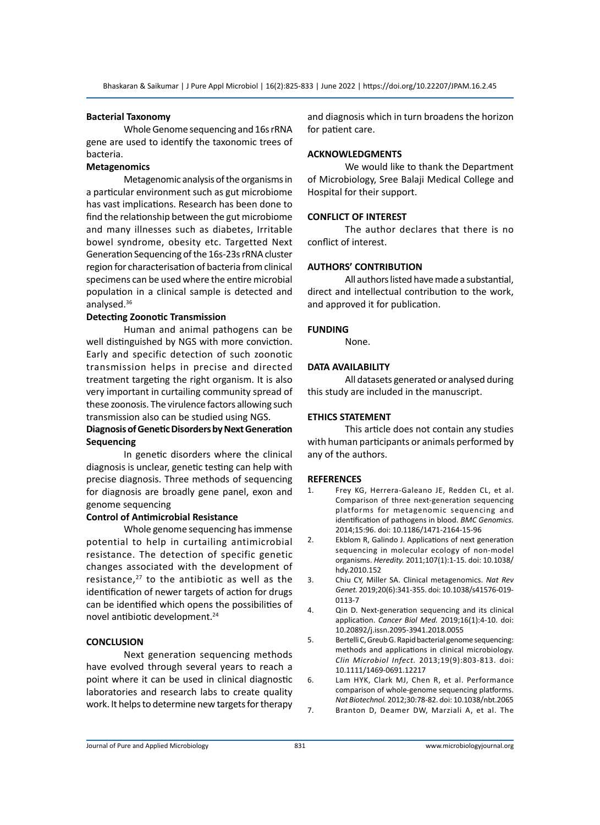#### **Bacterial Taxonomy**

Whole Genome sequencing and 16s rRNA gene are used to identify the taxonomic trees of bacteria.

# **Metagenomics**

Metagenomic analysis of the organisms in a particular environment such as gut microbiome has vast implications. Research has been done to find the relationship between the gut microbiome and many illnesses such as diabetes, Irritable bowel syndrome, obesity etc. Targetted Next Generation Sequencing of the 16s-23s rRNA cluster region for characterisation of bacteria from clinical specimens can be used where the entire microbial population in a clinical sample is detected and analysed.36

# **Detecting Zoonotic Transmission**

Human and animal pathogens can be well distinguished by NGS with more conviction. Early and specific detection of such zoonotic transmission helps in precise and directed treatment targeting the right organism. It is also very important in curtailing community spread of these zoonosis. The virulence factors allowing such transmission also can be studied using NGS.

# **Diagnosis of Genetic Disorders by Next Generation Sequencing**

In genetic disorders where the clinical diagnosis is unclear, genetic testing can help with precise diagnosis. Three methods of sequencing for diagnosis are broadly gene panel, exon and genome sequencing

# **Control of Antimicrobial Resistance**

Whole genome sequencing has immense potential to help in curtailing antimicrobial resistance. The detection of specific genetic changes associated with the development of resistance, $27$  to the antibiotic as well as the identification of newer targets of action for drugs can be identified which opens the possibilities of novel antibiotic development.<sup>24</sup>

# **CONCLUSION**

Next generation sequencing methods have evolved through several years to reach a point where it can be used in clinical diagnostic laboratories and research labs to create quality work. It helps to determine new targets for therapy and diagnosis which in turn broadens the horizon for patient care.

# **ACKNOWLEDGMENTS**

We would like to thank the Department of Microbiology, Sree Balaji Medical College and Hospital for their support.

#### **CONFLICT OF INTEREST**

The author declares that there is no conflict of interest.

#### **AUTHORS' CONTRIBUTION**

All authors listed have made a substantial, direct and intellectual contribution to the work, and approved it for publication.

#### **FUNDING**

None.

# **DATA AVAILABILITY**

All datasets generated or analysed during this study are included in the manuscript.

### **ETHICS STATEMENT**

This article does not contain any studies with human participants or animals performed by any of the authors.

#### **REFERENCES**

- 1. Frey KG, Herrera-Galeano JE, Redden CL, et al. Comparison of three next-generation sequencing platforms for metagenomic sequencing and identification of pathogens in blood. *BMC Genomics.*  2014;15:96. doi: 10.1186/1471-2164-15-96
- 2. Ekblom R, Galindo J. Applications of next generation sequencing in molecular ecology of non-model organisms. *Heredity.* 2011;107(1):1-15. doi: 10.1038/ hdy.2010.152
- 3. Chiu CY, Miller SA. Clinical metagenomics. *Nat Rev Genet.* 2019;20(6):341-355. doi: 10.1038/s41576-019- 0113-7
- 4. Qin D. Next-generation sequencing and its clinical application. *Cancer Biol Med.* 2019;16(1):4-10. doi: 10.20892/j.issn.2095-3941.2018.0055
- 5. Bertelli C, Greub G. Rapid bacterial genome sequencing: methods and applications in clinical microbiology. *Clin Microbiol Infect.* 2013;19(9):803-813. doi: 10.1111/1469-0691.12217
- 6. Lam HYK, Clark MJ, Chen R, et al. Performance comparison of whole-genome sequencing platforms. *Nat Biotechnol.* 2012;30:78-82. doi: 10.1038/nbt.2065 7. Branton D, Deamer DW, Marziali A, et al. The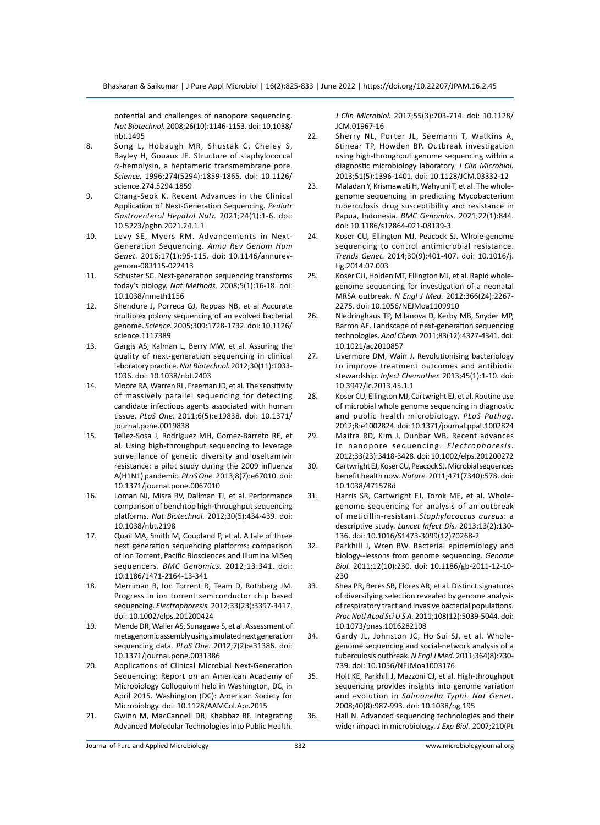potential and challenges of nanopore sequencing. *Nat Biotechnol.* 2008;26(10):1146-1153. doi: 10.1038/ nbt.1495

- 8. Song L, Hobaugh MR, Shustak C, Cheley S, Bayley H, Gouaux JE. Structure of staphylococcal  $\alpha$ -hemolysin, a heptameric transmembrane pore. *Science.* 1996;274(5294):1859-1865. doi: 10.1126/ science.274.5294.1859
- 9. Chang-Seok K. Recent Advances in the Clinical Application of Next-Generation Sequencing. *Pediatr Gastroenterol Hepatol Nutr.* 2021;24(1):1-6. doi: 10.5223/pghn.2021.24.1.1
- 10. Levy SE, Myers RM. Advancements in Next-Generation Sequencing. *Annu Rev Genom Hum Genet.* 2016;17(1):95-115. doi: 10.1146/annurevgenom-083115-022413
- 11. Schuster SC. Next-generation sequencing transforms today's biology. *Nat Methods.* 2008;5(1):16-18. doi: 10.1038/nmeth1156
- 12. Shendure J, Porreca GJ, Reppas NB, et al Accurate multiplex polony sequencing of an evolved bacterial genome. *Science.* 2005;309:1728-1732. doi: 10.1126/ science.1117389
- 13. Gargis AS, Kalman L, Berry MW, et al. Assuring the quality of next-generation sequencing in clinical laboratory practice. *Nat Biotechnol.* 2012;30(11):1033- 1036. doi: 10.1038/nbt.2403
- 14. Moore RA, Warren RL, Freeman JD, et al. The sensitivity of massively parallel sequencing for detecting candidate infectious agents associated with human tissue. *PLoS One.* 2011;6(5):e19838. doi: 10.1371/ journal.pone.0019838
- 15. Tellez-Sosa J, Rodriguez MH, Gomez-Barreto RE, et al. Using high-throughput sequencing to leverage surveillance of genetic diversity and oseltamivir resistance: a pilot study during the 2009 influenza A(H1N1) pandemic. *PLoS One.* 2013;8(7):e67010. doi: 10.1371/journal.pone.0067010
- 16. Loman NJ, Misra RV, Dallman TJ, et al. Performance comparison of benchtop high-throughput sequencing platforms. *Nat Biotechnol.* 2012;30(5):434-439. doi: 10.1038/nbt.2198
- 17. Quail MA, Smith M, Coupland P, et al. A tale of three next generation sequencing platforms: comparison of Ion Torrent, Pacific Biosciences and Illumina MiSeq sequencers. *BMC Genomics.* 2012;13:341. doi: 10.1186/1471-2164-13-341
- 18. Merriman B, Ion Torrent R, Team D, Rothberg JM. Progress in ion torrent semiconductor chip based sequencing. *Electrophoresis.* 2012;33(23):3397-3417. doi: 10.1002/elps.201200424
- 19. Mende DR, Waller AS, Sunagawa S, et al. Assessment of metagenomic assembly using simulated next generation sequencing data. *PLoS One.* 2012;7(2):e31386. doi: 10.1371/journal.pone.0031386
- 20. Applications of Clinical Microbial Next-Generation Sequencing: Report on an American Academy of Microbiology Colloquium held in Washington, DC, in April 2015. Washington (DC): American Society for Microbiology. doi: 10.1128/AAMCol.Apr.2015
- 21. Gwinn M, MacCannell DR, Khabbaz RF. Integrating Advanced Molecular Technologies into Public Health.

*J Clin Microbiol.* 2017;55(3):703-714. doi: 10.1128/ JCM.01967-16

- 22. Sherry NL, Porter JL, Seemann T, Watkins A, Stinear TP, Howden BP. Outbreak investigation using high-throughput genome sequencing within a diagnostic microbiology laboratory. *J Clin Microbiol.*  2013;51(5):1396-1401. doi: 10.1128/JCM.03332-12
- 23. Maladan Y, Krismawati H, Wahyuni T, et al. The wholegenome sequencing in predicting Mycobacterium tuberculosis drug susceptibility and resistance in Papua, Indonesia. *BMC Genomics.* 2021;22(1):844. doi: 10.1186/s12864-021-08139-3
- 24. Koser CU, Ellington MJ, Peacock SJ. Whole-genome sequencing to control antimicrobial resistance. *Trends Genet.* 2014;30(9):401-407. doi: 10.1016/j. tig.2014.07.003
- 25. Koser CU, Holden MT, Ellington MJ, et al. Rapid wholegenome sequencing for investigation of a neonatal MRSA outbreak. *N Engl J Med.* 2012;366(24):2267- 2275. doi: 10.1056/NEJMoa1109910
- 26. Niedringhaus TP, Milanova D, Kerby MB, Snyder MP, Barron AE. Landscape of next-generation sequencing technologies. *Anal Chem.* 2011;83(12):4327-4341. doi: 10.1021/ac2010857
- 27. Livermore DM, Wain J. Revolutionising bacteriology to improve treatment outcomes and antibiotic stewardship. *Infect Chemother.* 2013;45(1):1-10. doi: 10.3947/ic.2013.45.1.1
- 28. Koser CU, Ellington MJ, Cartwright EJ, et al. Routine use of microbial whole genome sequencing in diagnostic and public health microbiology. *PLoS Pathog.*  2012;8:e1002824. doi: 10.1371/journal.ppat.1002824
- 29. Maitra RD, Kim J, Dunbar WB. Recent advances in nanopore sequencing. *Electrophoresis.* 2012;33(23):3418-3428. doi: 10.1002/elps.201200272
- 30. Cartwright EJ, Koser CU, Peacock SJ. Microbial sequences benefit health now. *Nature.* 2011;471(7340):578. doi: 10.1038/471578d
- 31. Harris SR, Cartwright EJ, Torok ME, et al. Wholegenome sequencing for analysis of an outbreak of meticillin-resistant *Staphylococcus aureus*: a descriptive study. *Lancet Infect Dis.* 2013;13(2):130- 136. doi: 10.1016/S1473-3099(12)70268-2
- 32. Parkhill J, Wren BW. Bacterial epidemiology and biology--lessons from genome sequencing. *Genome Biol.* 2011;12(10):230. doi: 10.1186/gb-2011-12-10- 230
- 33. Shea PR, Beres SB, Flores AR, et al. Distinct signatures of diversifying selection revealed by genome analysis of respiratory tract and invasive bacterial populations. *Proc Natl Acad Sci U S A.* 2011;108(12):5039-5044. doi: 10.1073/pnas.1016282108
- 34. Gardy JL, Johnston JC, Ho Sui SJ, et al. Wholegenome sequencing and social-network analysis of a tuberculosis outbreak. *N Engl J Med.* 2011;364(8):730- 739. doi: 10.1056/NEJMoa1003176
- 35. Holt KE, Parkhill J, Mazzoni CJ, et al. High-throughput sequencing provides insights into genome variation and evolution in *Salmonella Typhi. Nat Genet.* 2008;40(8):987-993. doi: 10.1038/ng.195
- 36. Hall N. Advanced sequencing technologies and their wider impact in microbiology. *J Exp Biol.* 2007;210(Pt